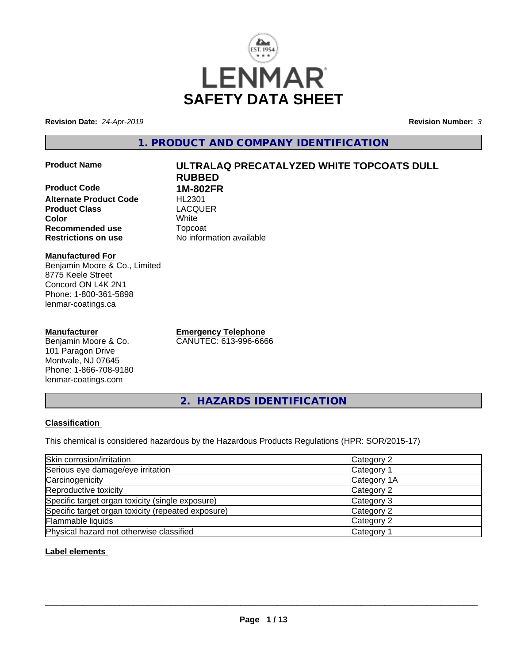

**Revision Date:** *24-Apr-2019* **Revision Number:** *3*

**1. PRODUCT AND COMPANY IDENTIFICATION**

**Product Code 1M-802FR Alternate Product Code HL2301**<br> **Product Class** LACQUER **Product Class Color** White **Recommended use** Topcoat

# **Product Name ULTRALAQ PRECATALYZED WHITE TOPCOATS DULL RUBBED**

**Restrictions on use** No information available

#### **Manufactured For**

Benjamin Moore & Co., Limited 8775 Keele Street Concord ON L4K 2N1 Phone: 1-800-361-5898 lenmar-coatings.ca

#### **Manufacturer**

Benjamin Moore & Co. 101 Paragon Drive Montvale, NJ 07645 Phone: 1-866-708-9180 lenmar-coatings.com

**Emergency Telephone** CANUTEC: 613-996-6666

**2. HAZARDS IDENTIFICATION**

#### **Classification**

This chemical is considered hazardous by the Hazardous Products Regulations (HPR: SOR/2015-17)

| Skin corrosion/irritation                          | Category 2            |  |
|----------------------------------------------------|-----------------------|--|
| Serious eye damage/eye irritation                  | Category 1            |  |
| Carcinogenicity                                    | Category 1A           |  |
| Reproductive toxicity                              | Category 2            |  |
| Specific target organ toxicity (single exposure)   | Category 3            |  |
| Specific target organ toxicity (repeated exposure) | Category 2            |  |
| Flammable liquids                                  | Category 2            |  |
| Physical hazard not otherwise classified           | Category <sup>2</sup> |  |

#### **Label elements**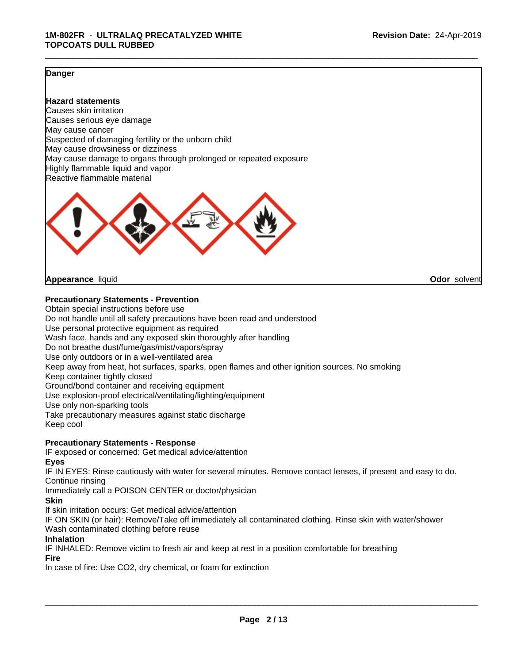#### **Danger**

**Hazard statements** Causes skin irritation Causes serious eye damage May cause cancer Suspected of damaging fertility or the unborn child May cause drowsiness or dizziness May cause damage to organs through prolonged or repeated exposure Highly flammable liquid and vapor Reactive flammable material



**Appearance** liquid **Odor** solvent

#### **Precautionary Statements - Prevention**

Obtain special instructions before use Do not handle until all safety precautions have been read and understood Use personal protective equipment as required Wash face, hands and any exposed skin thoroughly after handling Do not breathe dust/fume/gas/mist/vapors/spray Use only outdoors or in a well-ventilated area Keep away from heat, hot surfaces, sparks, open flames and other ignition sources. No smoking Keep container tightly closed Ground/bond container and receiving equipment Use explosion-proof electrical/ventilating/lighting/equipment Use only non-sparking tools Take precautionary measures against static discharge Keep cool

#### **Precautionary Statements - Response**

IF exposed or concerned: Get medical advice/attention

**Eyes**

IF IN EYES: Rinse cautiously with water for several minutes. Remove contact lenses, if present and easy to do. Continue rinsing

Immediately call a POISON CENTER or doctor/physician

#### **Skin**

If skin irritation occurs: Get medical advice/attention

IF ON SKIN (or hair): Remove/Take off immediately all contaminated clothing. Rinse skin with water/shower Wash contaminated clothing before reuse

#### **Inhalation**

IF INHALED: Remove victim to fresh air and keep at rest in a position comfortable for breathing

#### **Fire**

In case of fire: Use CO2, dry chemical, or foam for extinction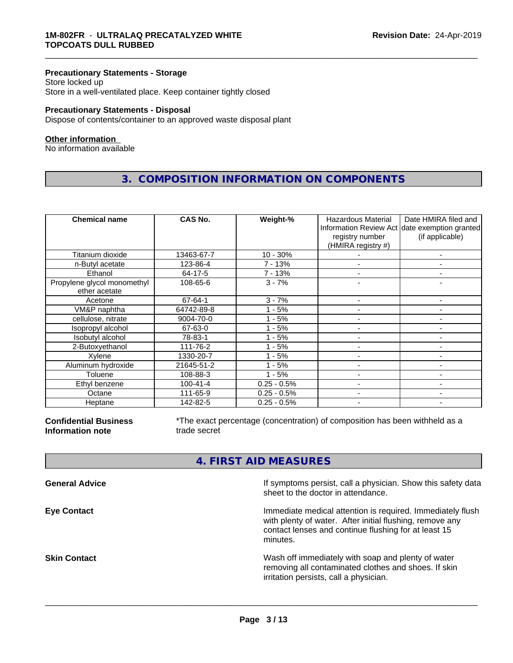#### **Precautionary Statements - Storage**

Store locked up Store in a well-ventilated place. Keep container tightly closed

#### **Precautionary Statements - Disposal**

Dispose of contents/container to an approved waste disposal plant

#### **Other information**

No information available

### **3. COMPOSITION INFORMATION ON COMPONENTS**

\_\_\_\_\_\_\_\_\_\_\_\_\_\_\_\_\_\_\_\_\_\_\_\_\_\_\_\_\_\_\_\_\_\_\_\_\_\_\_\_\_\_\_\_\_\_\_\_\_\_\_\_\_\_\_\_\_\_\_\_\_\_\_\_\_\_\_\_\_\_\_\_\_\_\_\_\_\_\_\_\_\_\_\_\_\_\_\_\_\_\_\_\_

| <b>Chemical name</b>                         | <b>CAS No.</b> | Weight-%      | Hazardous Material<br>registry number<br>(HMIRA registry #) | Date HMIRA filed and<br>Information Review Act date exemption granted<br>(if applicable) |
|----------------------------------------------|----------------|---------------|-------------------------------------------------------------|------------------------------------------------------------------------------------------|
| Titanium dioxide                             | 13463-67-7     | $10 - 30%$    |                                                             |                                                                                          |
| n-Butyl acetate                              | 123-86-4       | 7 - 13%       |                                                             |                                                                                          |
| Ethanol                                      | 64-17-5        | 7 - 13%       |                                                             |                                                                                          |
| Propylene glycol monomethyl<br>ether acetate | 108-65-6       | $3 - 7%$      |                                                             |                                                                                          |
| Acetone                                      | 67-64-1        | $3 - 7%$      |                                                             |                                                                                          |
| VM&P naphtha                                 | 64742-89-8     | $1 - 5%$      |                                                             |                                                                                          |
| cellulose, nitrate                           | 9004-70-0      | $1 - 5%$      |                                                             |                                                                                          |
| Isopropyl alcohol                            | 67-63-0        | $1 - 5%$      |                                                             |                                                                                          |
| Isobutyl alcohol                             | 78-83-1        | $1 - 5%$      | $\overline{\phantom{0}}$                                    | $\overline{\phantom{0}}$                                                                 |
| 2-Butoxyethanol                              | 111-76-2       | $1 - 5%$      |                                                             |                                                                                          |
| Xylene                                       | 1330-20-7      | $1 - 5%$      |                                                             |                                                                                          |
| Aluminum hydroxide                           | 21645-51-2     | $1 - 5%$      |                                                             | ۰                                                                                        |
| Toluene                                      | 108-88-3       | $1 - 5%$      |                                                             |                                                                                          |
| Ethyl benzene                                | $100 - 41 - 4$ | $0.25 - 0.5%$ | $\overline{\phantom{a}}$                                    | -                                                                                        |
| Octane                                       | 111-65-9       | $0.25 - 0.5%$ |                                                             | ۰                                                                                        |
| Heptane                                      | 142-82-5       | $0.25 - 0.5%$ |                                                             |                                                                                          |

**Confidential Business Information note**

\*The exact percentage (concentration) of composition has been withheld as a trade secret

### **4. FIRST AID MEASURES**

| sheet to the doctor in attendance.                                                                                                                                                                               | If symptoms persist, call a physician. Show this safety data |
|------------------------------------------------------------------------------------------------------------------------------------------------------------------------------------------------------------------|--------------------------------------------------------------|
| Immediate medical attention is required. Immediately flush<br><b>Eye Contact</b><br>with plenty of water. After initial flushing, remove any<br>contact lenses and continue flushing for at least 15<br>minutes. |                                                              |
| Wash off immediately with soap and plenty of water<br><b>Skin Contact</b><br>removing all contaminated clothes and shoes. If skin<br>irritation persists, call a physician.                                      |                                                              |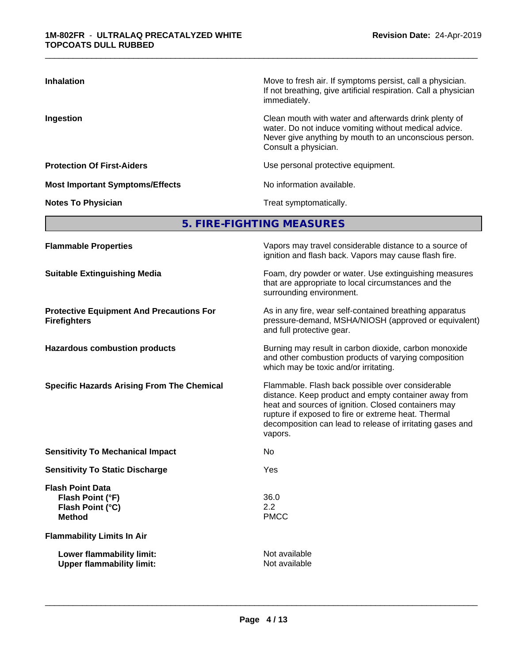| <b>Inhalation</b>                      | Move to fresh air. If symptoms persist, call a physician.<br>If not breathing, give artificial respiration. Call a physician<br>immediately.                                                     |
|----------------------------------------|--------------------------------------------------------------------------------------------------------------------------------------------------------------------------------------------------|
| Ingestion                              | Clean mouth with water and afterwards drink plenty of<br>water. Do not induce vomiting without medical advice.<br>Never give anything by mouth to an unconscious person.<br>Consult a physician. |
| <b>Protection Of First-Aiders</b>      | Use personal protective equipment.                                                                                                                                                               |
| <b>Most Important Symptoms/Effects</b> | No information available.                                                                                                                                                                        |
| <b>Notes To Physician</b>              | Treat symptomatically.                                                                                                                                                                           |

**5. FIRE-FIGHTING MEASURES**

| <b>Flammable Properties</b>                                                      | Vapors may travel considerable distance to a source of<br>ignition and flash back. Vapors may cause flash fire.                                                                                                                                                                                |
|----------------------------------------------------------------------------------|------------------------------------------------------------------------------------------------------------------------------------------------------------------------------------------------------------------------------------------------------------------------------------------------|
| <b>Suitable Extinguishing Media</b>                                              | Foam, dry powder or water. Use extinguishing measures<br>that are appropriate to local circumstances and the<br>surrounding environment.                                                                                                                                                       |
| <b>Protective Equipment And Precautions For</b><br><b>Firefighters</b>           | As in any fire, wear self-contained breathing apparatus<br>pressure-demand, MSHA/NIOSH (approved or equivalent)<br>and full protective gear.                                                                                                                                                   |
| <b>Hazardous combustion products</b>                                             | Burning may result in carbon dioxide, carbon monoxide<br>and other combustion products of varying composition<br>which may be toxic and/or irritating.                                                                                                                                         |
| <b>Specific Hazards Arising From The Chemical</b>                                | Flammable. Flash back possible over considerable<br>distance. Keep product and empty container away from<br>heat and sources of ignition. Closed containers may<br>rupture if exposed to fire or extreme heat. Thermal<br>decomposition can lead to release of irritating gases and<br>vapors. |
| <b>Sensitivity To Mechanical Impact</b>                                          | No                                                                                                                                                                                                                                                                                             |
| <b>Sensitivity To Static Discharge</b>                                           | Yes                                                                                                                                                                                                                                                                                            |
| <b>Flash Point Data</b><br>Flash Point (°F)<br>Flash Point (°C)<br><b>Method</b> | 36.0<br>2.2<br><b>PMCC</b>                                                                                                                                                                                                                                                                     |
| <b>Flammability Limits In Air</b>                                                |                                                                                                                                                                                                                                                                                                |
| Lower flammability limit:<br><b>Upper flammability limit:</b>                    | Not available<br>Not available                                                                                                                                                                                                                                                                 |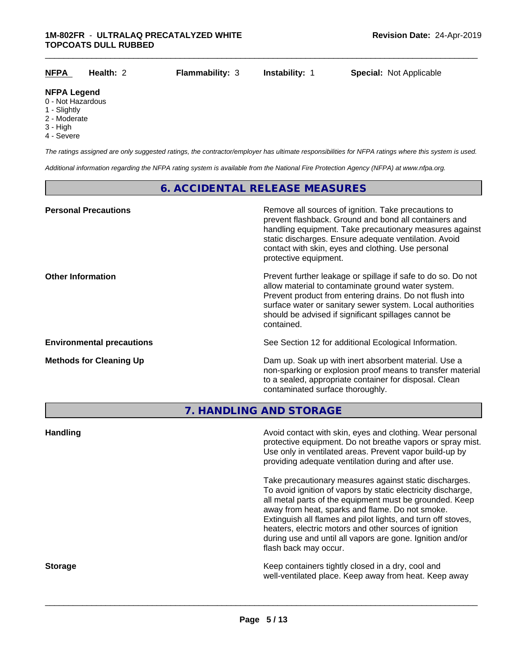| <b>NFPA</b><br>$\overline{\phantom{a}}$ | Health: 2 | <b>Flammability: 3</b> | <b>Instability: 1</b> | <b>Special: Not Applicable</b> |
|-----------------------------------------|-----------|------------------------|-----------------------|--------------------------------|
| <b>NFPA Legend</b>                      |           |                        |                       |                                |

- 0 Not Hazardous
- 1 Slightly
- 2 Moderate
- 3 High
- 4 Severe

*The ratings assigned are only suggested ratings, the contractor/employer has ultimate responsibilities for NFPA ratings where this system is used.*

*Additional information regarding the NFPA rating system is available from the National Fire Protection Agency (NFPA) at www.nfpa.org.*

#### **6. ACCIDENTAL RELEASE MEASURES**

| <b>Personal Precautions</b>      | Remove all sources of ignition. Take precautions to<br>prevent flashback. Ground and bond all containers and<br>handling equipment. Take precautionary measures against<br>static discharges. Ensure adequate ventilation. Avoid<br>contact with skin, eyes and clothing. Use personal<br>protective equipment.  |
|----------------------------------|------------------------------------------------------------------------------------------------------------------------------------------------------------------------------------------------------------------------------------------------------------------------------------------------------------------|
| <b>Other Information</b>         | Prevent further leakage or spillage if safe to do so. Do not<br>allow material to contaminate ground water system.<br>Prevent product from entering drains. Do not flush into<br>surface water or sanitary sewer system. Local authorities<br>should be advised if significant spillages cannot be<br>contained. |
| <b>Environmental precautions</b> | See Section 12 for additional Ecological Information.                                                                                                                                                                                                                                                            |
| <b>Methods for Cleaning Up</b>   | Dam up. Soak up with inert absorbent material. Use a<br>non-sparking or explosion proof means to transfer material<br>to a sealed, appropriate container for disposal. Clean<br>contaminated surface thoroughly.                                                                                                 |

**7. HANDLING AND STORAGE**

| <b>Handling</b> | Avoid contact with skin, eyes and clothing. Wear personal<br>protective equipment. Do not breathe vapors or spray mist.<br>Use only in ventilated areas. Prevent vapor build-up by<br>providing adequate ventilation during and after use.                                                                                                                                                                                                           |
|-----------------|------------------------------------------------------------------------------------------------------------------------------------------------------------------------------------------------------------------------------------------------------------------------------------------------------------------------------------------------------------------------------------------------------------------------------------------------------|
|                 | Take precautionary measures against static discharges.<br>To avoid ignition of vapors by static electricity discharge,<br>all metal parts of the equipment must be grounded. Keep<br>away from heat, sparks and flame. Do not smoke.<br>Extinguish all flames and pilot lights, and turn off stoves,<br>heaters, electric motors and other sources of ignition<br>during use and until all vapors are gone. Ignition and/or<br>flash back may occur. |
| <b>Storage</b>  | Keep containers tightly closed in a dry, cool and<br>well-ventilated place. Keep away from heat. Keep away                                                                                                                                                                                                                                                                                                                                           |
|                 |                                                                                                                                                                                                                                                                                                                                                                                                                                                      |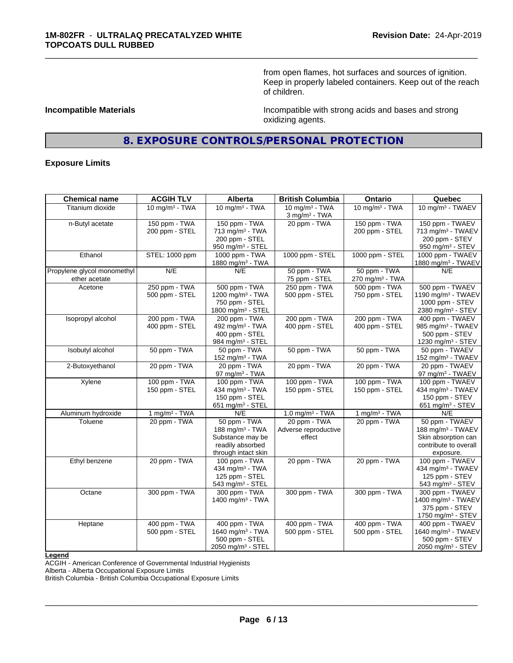from open flames, hot surfaces and sources of ignition. Keep in properly labeled containers. Keep out of the reach of children.

**Incompatible Materials Incompatible Materials Incompatible with strong acids and bases and strong** oxidizing agents.

### **8. EXPOSURE CONTROLS/PERSONAL PROTECTION**

\_\_\_\_\_\_\_\_\_\_\_\_\_\_\_\_\_\_\_\_\_\_\_\_\_\_\_\_\_\_\_\_\_\_\_\_\_\_\_\_\_\_\_\_\_\_\_\_\_\_\_\_\_\_\_\_\_\_\_\_\_\_\_\_\_\_\_\_\_\_\_\_\_\_\_\_\_\_\_\_\_\_\_\_\_\_\_\_\_\_\_\_\_

#### **Exposure Limits**

| <b>Chemical name</b>        | <b>ACGIH TLV</b>  | Alberta                       | <b>British Columbia</b>     | Ontario                     | Quebec                         |
|-----------------------------|-------------------|-------------------------------|-----------------------------|-----------------------------|--------------------------------|
| Titanium dioxide            | 10 mg/m $3$ - TWA | 10 mg/m $3$ - TWA             | 10 mg/m $3 - TWA$           | 10 mg/m $3 - TWA$           | 10 mg/m <sup>3</sup> - TWAEV   |
|                             |                   |                               | $3$ mg/m <sup>3</sup> - TWA |                             |                                |
| n-Butyl acetate             | 150 ppm - TWA     | 150 ppm - TWA                 | 20 ppm - TWA                | 150 ppm - TWA               | 150 ppm - TWAEV                |
|                             | 200 ppm - STEL    | 713 mg/m <sup>3</sup> - TWA   |                             | 200 ppm - STEL              | 713 mg/m <sup>3</sup> - TWAEV  |
|                             |                   | 200 ppm - STEL                |                             |                             | 200 ppm - STEV                 |
|                             |                   | 950 mg/m <sup>3</sup> - STEL  |                             |                             | 950 mg/m <sup>3</sup> - STEV   |
| Ethanol                     | STEL: 1000 ppm    | 1000 ppm - TWA                | 1000 ppm - STEL             | 1000 ppm - STEL             | 1000 ppm - TWAEV               |
|                             |                   | 1880 mg/m <sup>3</sup> - TWA  |                             |                             | 1880 mg/m <sup>3</sup> - TWAEV |
| Propylene glycol monomethyl | N/E               | N/E                           | 50 ppm - TWA                | 50 ppm - TWA                | N/E                            |
| ether acetate               |                   |                               | 75 ppm - STEL               | 270 mg/m <sup>3</sup> - TWA |                                |
| Acetone                     | 250 ppm - TWA     | 500 ppm - TWA                 | 250 ppm - TWA               | 500 ppm - TWA               | 500 ppm - TWAEV                |
|                             | 500 ppm - STEL    | 1200 mg/m <sup>3</sup> - TWA  | 500 ppm - STEL              | 750 ppm - STEL              | 1190 mg/m <sup>3</sup> - TWAEV |
|                             |                   | 750 ppm - STEL                |                             |                             | 1000 ppm - STEV                |
|                             |                   | 1800 mg/m <sup>3</sup> - STEL |                             |                             | 2380 mg/m <sup>3</sup> - STEV  |
| Isopropyl alcohol           | 200 ppm - TWA     | 200 ppm - TWA                 | 200 ppm - TWA               | 200 ppm - TWA               | 400 ppm - TWAEV                |
|                             | 400 ppm - STEL    | 492 mg/m <sup>3</sup> - TWA   | 400 ppm - STEL              | 400 ppm - STEL              | 985 mg/m <sup>3</sup> - TWAEV  |
|                             |                   | 400 ppm - STEL                |                             |                             | 500 ppm - STEV                 |
|                             |                   | 984 mg/m <sup>3</sup> - STEL  |                             |                             | 1230 mg/m <sup>3</sup> - STEV  |
| Isobutyl alcohol            | 50 ppm - TWA      | 50 ppm - TWA                  | 50 ppm - TWA                | 50 ppm - TWA                | 50 ppm - TWAEV                 |
|                             |                   | 152 mg/m <sup>3</sup> - TWA   |                             |                             | 152 mg/m <sup>3</sup> - TWAEV  |
| 2-Butoxyethanol             | 20 ppm - TWA      | 20 ppm - TWA                  | 20 ppm - TWA                | 20 ppm - TWA                | 20 ppm - TWAEV                 |
|                             |                   | 97 mg/m $3$ - TWA             |                             |                             | 97 mg/m <sup>3</sup> - TWAEV   |
| Xylene                      | 100 ppm - TWA     | 100 ppm - TWA                 | 100 ppm - TWA               | 100 ppm - TWA               | 100 ppm - TWAEV                |
|                             | 150 ppm - STEL    | 434 mg/m <sup>3</sup> - TWA   | 150 ppm - STEL              | 150 ppm - STEL              | 434 mg/m <sup>3</sup> - TWAEV  |
|                             |                   | 150 ppm - STEL                |                             |                             | 150 ppm - STEV                 |
|                             |                   | 651 mg/m <sup>3</sup> - STEL  |                             |                             | 651 mg/m <sup>3</sup> - STEV   |
| Aluminum hydroxide          | 1 mg/m $3 - TWA$  | N/E                           | 1.0 mg/m $3$ - TWA          | 1 mg/m $3 - TWA$            | N/E                            |
| Toluene                     | 20 ppm - TWA      | 50 ppm - TWA                  | 20 ppm - TWA                | 20 ppm - TWA                | 50 ppm - TWAEV                 |
|                             |                   | 188 mg/m <sup>3</sup> - TWA   | Adverse reproductive        |                             | 188 mg/m <sup>3</sup> - TWAEV  |
|                             |                   | Substance may be              | effect                      |                             | Skin absorption can            |
|                             |                   | readily absorbed              |                             |                             | contribute to overall          |
|                             |                   | through intact skin           |                             |                             | exposure.                      |
| Ethyl benzene               | 20 ppm - TWA      | 100 ppm - TWA                 | 20 ppm - TWA                | 20 ppm - TWA                | 100 ppm - TWAEV                |
|                             |                   | 434 mg/m <sup>3</sup> - TWA   |                             |                             | 434 mg/m <sup>3</sup> - TWAEV  |
|                             |                   | 125 ppm - STEL                |                             |                             | 125 ppm - STEV                 |
|                             |                   | 543 mg/m <sup>3</sup> - STEL  |                             |                             | 543 mg/m <sup>3</sup> - STEV   |
| Octane                      | 300 ppm - TWA     | 300 ppm - TWA                 | 300 ppm - TWA               | 300 ppm - TWA               | 300 ppm - TWAEV                |
|                             |                   | 1400 mg/m <sup>3</sup> - TWA  |                             |                             | 1400 mg/m <sup>3</sup> - TWAEV |
|                             |                   |                               |                             |                             | 375 ppm - STEV                 |
|                             |                   |                               |                             |                             | 1750 mg/m $3 -$ STEV           |
| Heptane                     | 400 ppm - TWA     | 400 ppm - TWA                 | 400 ppm - TWA               | 400 ppm - TWA               | 400 ppm - TWAEV                |
|                             | 500 ppm - STEL    | 1640 mg/m <sup>3</sup> - TWA  | 500 ppm - STEL              | 500 ppm - STEL              | 1640 mg/m <sup>3</sup> - TWAEV |
|                             |                   | 500 ppm - STEL                |                             |                             | 500 ppm - STEV                 |
|                             |                   | 2050 mg/m <sup>3</sup> - STEL |                             |                             | 2050 mg/m <sup>3</sup> - STEV  |
|                             |                   |                               |                             |                             |                                |

**Legend**

ACGIH - American Conference of Governmental Industrial Hygienists

Alberta - Alberta Occupational Exposure Limits

British Columbia - British Columbia Occupational Exposure Limits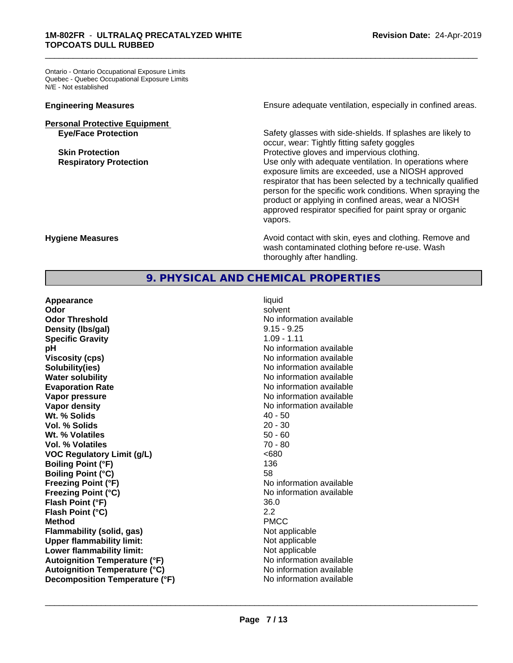Ontario - Ontario Occupational Exposure Limits Quebec - Quebec Occupational Exposure Limits N/E - Not established

## **Personal Protective Equipment**<br> **Eye/Face Protection**

**Engineering Measures Ensure** Ensure adequate ventilation, especially in confined areas.

\_\_\_\_\_\_\_\_\_\_\_\_\_\_\_\_\_\_\_\_\_\_\_\_\_\_\_\_\_\_\_\_\_\_\_\_\_\_\_\_\_\_\_\_\_\_\_\_\_\_\_\_\_\_\_\_\_\_\_\_\_\_\_\_\_\_\_\_\_\_\_\_\_\_\_\_\_\_\_\_\_\_\_\_\_\_\_\_\_\_\_\_\_

Safety glasses with side-shields. If splashes are likely to occur, wear: Tightly fitting safety goggles **Skin Protection Protection Protective gloves and impervious clothing. Respiratory Protection Number 1** (Use only with adequate ventilation. In operations where exposure limits are exceeded, use a NIOSH approved respirator that has been selected by a technically qualified person for the specific work conditions. When spraying the product or applying in confined areas, wear a NIOSH approved respirator specified for paint spray or organic vapors.

**Hygiene Measures Avoid contact with skin, eyes and clothing. Remove and Avoid contact with skin, eyes and clothing. Remove and Avoid contact with skin, eyes and clothing. Remove and** wash contaminated clothing before re-use. Wash thoroughly after handling.

#### **9. PHYSICAL AND CHEMICAL PROPERTIES**

**Appearance** liquid **Odor** solvent **Odor Threshold No information available No information available Density (Ibs/gal)** 8.15 - 9.25 **Specific Gravity** 1.09 - 1.11 **pH pH**  $\blacksquare$ **Viscosity (cps)** No information available Notice 1, 1999 **Solubility(ies)** No information available **Water solubility Water solubility Water solubility Water solubility Water solubility Water solution Evaporation Rate No information available No information available Vapor pressure** No information available **Vapor density No information available No information available Wt. % Solids** 40 - 50 **Vol. % Solids** 20 - 30<br> **Wt. % Volatiles** 20 - 30 **Wt. % Volatiles Vol. % Volatiles** 70 - 80 **VOC Regulatory Limit (g/L)** <680 **Boiling Point (°F)** 136 **Boiling Point (°C)** 58 **Freezing Point (°F)** No information available **Freezing Point (°C)** No information available **Flash Point (°F)** 36.0 **Flash Point (°C)** 2.2 **Method** PMCC **Flammability (solid, gas)** Not applicable **Upper flammability limit:** Not applicable **Lower flammability limit:**<br> **Autoignition Temperature (°F)** Not applicable Not applicable not a Not applicable **Autoignition Temperature (°F) Autoignition Temperature (°C)** No information available **Decomposition Temperature (°F)** No information available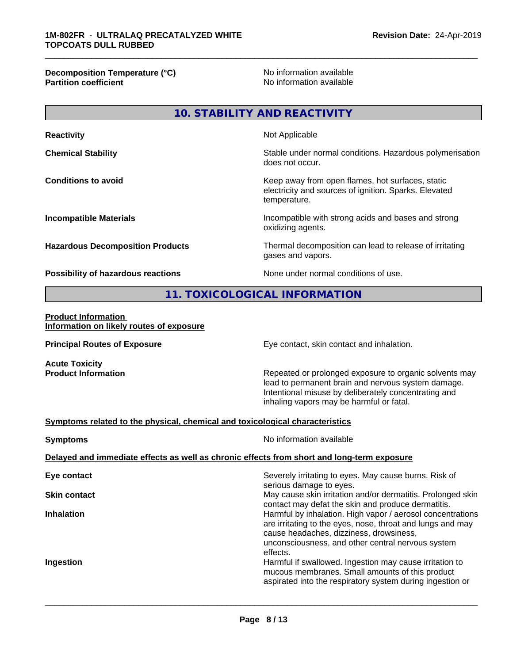**Decomposition Temperature (°C)**<br> **Partition coefficient**<br> **Partition coefficient**<br> **No** information available

**No information available** 

\_\_\_\_\_\_\_\_\_\_\_\_\_\_\_\_\_\_\_\_\_\_\_\_\_\_\_\_\_\_\_\_\_\_\_\_\_\_\_\_\_\_\_\_\_\_\_\_\_\_\_\_\_\_\_\_\_\_\_\_\_\_\_\_\_\_\_\_\_\_\_\_\_\_\_\_\_\_\_\_\_\_\_\_\_\_\_\_\_\_\_\_\_

### **10. STABILITY AND REACTIVITY**

| <b>Reactivity</b>                       | Not Applicable                                                                                                            |
|-----------------------------------------|---------------------------------------------------------------------------------------------------------------------------|
| <b>Chemical Stability</b>               | Stable under normal conditions. Hazardous polymerisation<br>does not occur.                                               |
| <b>Conditions to avoid</b>              | Keep away from open flames, hot surfaces, static<br>electricity and sources of ignition. Sparks. Elevated<br>temperature. |
| <b>Incompatible Materials</b>           | Incompatible with strong acids and bases and strong<br>oxidizing agents.                                                  |
| <b>Hazardous Decomposition Products</b> | Thermal decomposition can lead to release of irritating<br>gases and vapors.                                              |
|                                         |                                                                                                                           |

**Possibility of hazardous reactions** None under normal conditions of use.

#### **11. TOXICOLOGICAL INFORMATION**

**Product Information Information on likely routes of exposure**

**Acute Toxicity<br>Product Information** 

**Principal Routes of Exposure Exposure** Eye contact, skin contact and inhalation.

Repeated or prolonged exposure to organic solvents may lead to permanent brain and nervous system damage. Intentional misuse by deliberately concentrating and inhaling vapors may be harmful or fatal.

#### **Symptoms related to the physical,chemical and toxicological characteristics**

| <b>Symptoms</b>                                                                            | No information available                                                                                                                                                                                                             |  |  |
|--------------------------------------------------------------------------------------------|--------------------------------------------------------------------------------------------------------------------------------------------------------------------------------------------------------------------------------------|--|--|
| Delayed and immediate effects as well as chronic effects from short and long-term exposure |                                                                                                                                                                                                                                      |  |  |
| Eye contact                                                                                | Severely irritating to eyes. May cause burns. Risk of<br>serious damage to eyes.                                                                                                                                                     |  |  |
| <b>Skin contact</b>                                                                        | May cause skin irritation and/or dermatitis. Prolonged skin<br>contact may defat the skin and produce dermatitis.                                                                                                                    |  |  |
| <b>Inhalation</b>                                                                          | Harmful by inhalation. High vapor / aerosol concentrations<br>are irritating to the eyes, nose, throat and lungs and may<br>cause headaches, dizziness, drowsiness,<br>unconsciousness, and other central nervous system<br>effects. |  |  |
| Ingestion                                                                                  | Harmful if swallowed. Ingestion may cause irritation to<br>mucous membranes. Small amounts of this product<br>aspirated into the respiratory system during ingestion or                                                              |  |  |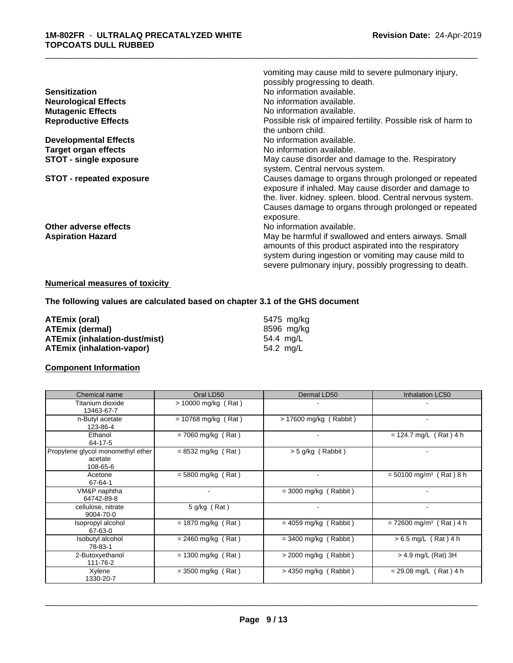|                                 | vomiting may cause mild to severe pulmonary injury,           |
|---------------------------------|---------------------------------------------------------------|
|                                 | possibly progressing to death.                                |
| <b>Sensitization</b>            | No information available.                                     |
| <b>Neurological Effects</b>     | No information available.                                     |
| <b>Mutagenic Effects</b>        | No information available.                                     |
| <b>Reproductive Effects</b>     | Possible risk of impaired fertility. Possible risk of harm to |
|                                 | the unborn child.                                             |
| <b>Developmental Effects</b>    | No information available.                                     |
| <b>Target organ effects</b>     | No information available.                                     |
| <b>STOT - single exposure</b>   | May cause disorder and damage to the. Respiratory             |
|                                 | system. Central nervous system.                               |
| <b>STOT - repeated exposure</b> | Causes damage to organs through prolonged or repeated         |
|                                 | exposure if inhaled. May cause disorder and damage to         |
|                                 | the. liver. kidney. spleen. blood. Central nervous system.    |
|                                 | Causes damage to organs through prolonged or repeated         |
|                                 | exposure.                                                     |
| Other adverse effects           | No information available.                                     |
| <b>Aspiration Hazard</b>        | May be harmful if swallowed and enters airways. Small         |
|                                 | amounts of this product aspirated into the respiratory        |
|                                 | system during ingestion or vomiting may cause mild to         |
|                                 | severe pulmonary injury, possibly progressing to death.       |

#### **Numerical measures of toxicity**

**The following values are calculated based on chapter 3.1 of the GHS document**

| ATEmix (oral)                        | 5475 mg/kg |
|--------------------------------------|------------|
| <b>ATEmix (dermal)</b>               | 8596 mg/ka |
| <b>ATEmix (inhalation-dust/mist)</b> | 54.4 ma/L  |
| <b>ATEmix (inhalation-vapor)</b>     | 54.2 mg/L  |

#### **Component Information**

| Chemical name                                            | Oral LD50                    | Dermal LD50              | Inhalation LC50                       |
|----------------------------------------------------------|------------------------------|--------------------------|---------------------------------------|
| Titanium dioxide<br>13463-67-7                           | > 10000 mg/kg (Rat)          |                          |                                       |
| n-Butyl acetate<br>123-86-4                              | $= 10768$ mg/kg (Rat)        | $> 17600$ mg/kg (Rabbit) |                                       |
| Ethanol<br>64-17-5                                       | $= 7060$ mg/kg (Rat)         |                          | $= 124.7$ mg/L (Rat) 4 h              |
| Propylene glycol monomethyl ether<br>acetate<br>108-65-6 | $= 8532$ mg/kg (Rat)         | $>$ 5 g/kg (Rabbit)      |                                       |
| Acetone<br>67-64-1                                       | $= 5800$ mg/kg (Rat)         | $\overline{\phantom{a}}$ | $= 50100$ mg/m <sup>3</sup> (Rat) 8 h |
| VM&P naphtha<br>64742-89-8                               | $\qquad \qquad \blacksquare$ | $=$ 3000 mg/kg (Rabbit)  |                                       |
| cellulose, nitrate<br>9004-70-0                          | $5$ g/kg (Rat)               |                          |                                       |
| Isopropyl alcohol<br>67-63-0                             | $= 1870$ mg/kg (Rat)         | $= 4059$ mg/kg (Rabbit)  | $= 72600$ mg/m <sup>3</sup> (Rat) 4 h |
| Isobutyl alcohol<br>78-83-1                              | $= 2460$ mg/kg (Rat)         | $=$ 3400 mg/kg (Rabbit)  | $> 6.5$ mg/L (Rat) 4 h                |
| 2-Butoxyethanol<br>111-76-2                              | $= 1300$ mg/kg (Rat)         | $>$ 2000 mg/kg (Rabbit)  | > 4.9 mg/L (Rat) 3H                   |
| Xylene<br>1330-20-7                                      | $=$ 3500 mg/kg (Rat)         | $>$ 4350 mg/kg (Rabbit)  | $= 29.08$ mg/L (Rat) 4 h              |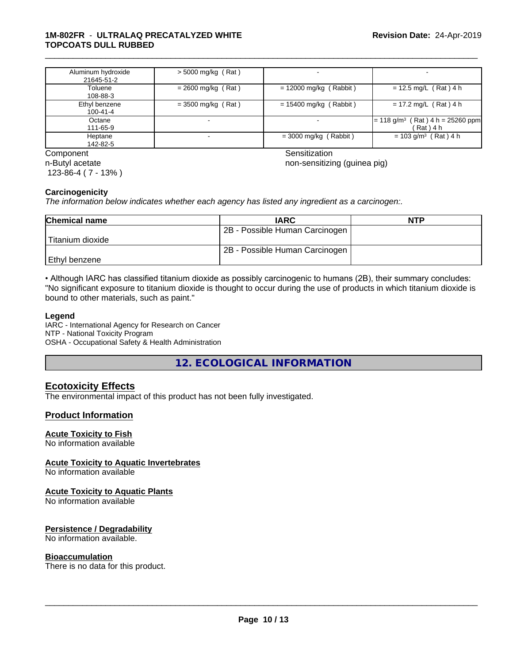#### **1M-802FR** - **ULTRALAQ PRECATALYZED WHITE TOPCOATS DULL RUBBED**

| Aluminum hydroxide<br>21645-51-2 | $> 5000$ mg/kg (Rat) |                          |                                                                   |
|----------------------------------|----------------------|--------------------------|-------------------------------------------------------------------|
| Toluene<br>108-88-3              | $= 2600$ mg/kg (Rat) | $= 12000$ mg/kg (Rabbit) | $= 12.5$ mg/L (Rat) 4 h                                           |
| Ethyl benzene<br>100-41-4        | $=$ 3500 mg/kg (Rat) | $= 15400$ mg/kg (Rabbit) | $= 17.2$ mg/L (Rat) 4 h                                           |
| Octane<br>111-65-9               |                      |                          | $(Rat)$ 4 h = 25260 ppm<br>$= 118$ g/m <sup>3</sup><br>(Rat ) 4 h |
| Heptane<br>142-82-5              |                      | $=$ 3000 mg/kg (Rabbit)  | $= 103$ g/m <sup>3</sup> (Rat) 4 h                                |

Component Sensitization n-Butyl acetate 123-86-4 ( 7 - 13% )

\_\_\_\_\_\_\_\_\_\_\_\_\_\_\_\_\_\_\_\_\_\_\_\_\_\_\_\_\_\_\_\_\_\_\_\_\_\_\_\_\_\_\_\_\_\_\_\_\_\_\_\_\_\_\_\_\_\_\_\_\_\_\_\_\_\_\_\_\_\_\_\_\_\_\_\_\_\_\_\_\_\_\_\_\_\_\_\_\_\_\_\_\_

non-sensitizing (guinea pig)

#### **Carcinogenicity**

*The information below indicateswhether each agency has listed any ingredient as a carcinogen:.*

| <b>Chemical name</b> | <b>IARC</b>                    | <b>NTP</b> |
|----------------------|--------------------------------|------------|
|                      | 2B - Possible Human Carcinogen |            |
| Titanium dioxide     |                                |            |
|                      | 2B - Possible Human Carcinogen |            |
| Ethyl benzene        |                                |            |

• Although IARC has classified titanium dioxide as possibly carcinogenic to humans (2B), their summary concludes: "No significant exposure to titanium dioxide is thought to occur during the use of products in which titanium dioxide is bound to other materials, such as paint."

#### **Legend**

IARC - International Agency for Research on Cancer NTP - National Toxicity Program OSHA - Occupational Safety & Health Administration

**12. ECOLOGICAL INFORMATION**

#### **Ecotoxicity Effects**

The environmental impact of this product has not been fully investigated.

#### **Product Information**

#### **Acute Toxicity to Fish**

No information available

#### **Acute Toxicity to Aquatic Invertebrates**

No information available

#### **Acute Toxicity to Aquatic Plants**

No information available

#### **Persistence / Degradability**

No information available.

#### **Bioaccumulation**

There is no data for this product.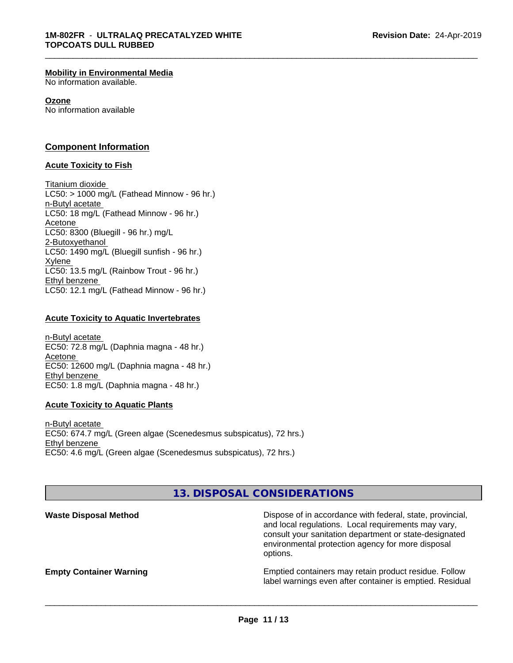#### **Mobility in Environmental Media**

No information available.

#### **Ozone**

No information available

#### **Component Information**

#### **Acute Toxicity to Fish**

Titanium dioxide  $LC50:$  > 1000 mg/L (Fathead Minnow - 96 hr.) n-Butyl acetate LC50: 18 mg/L (Fathead Minnow - 96 hr.) Acetone LC50: 8300 (Bluegill - 96 hr.) mg/L 2-Butoxyethanol LC50: 1490 mg/L (Bluegill sunfish - 96 hr.) Xylene LC50: 13.5 mg/L (Rainbow Trout - 96 hr.) Ethyl benzene LC50: 12.1 mg/L (Fathead Minnow - 96 hr.)

#### **Acute Toxicity to Aquatic Invertebrates**

n-Butyl acetate EC50: 72.8 mg/L (Daphnia magna - 48 hr.) Acetone EC50: 12600 mg/L (Daphnia magna - 48 hr.) Ethyl benzene EC50: 1.8 mg/L (Daphnia magna - 48 hr.)

#### **Acute Toxicity to Aquatic Plants**

n-Butyl acetate EC50: 674.7 mg/L (Green algae (Scenedesmus subspicatus), 72 hrs.) Ethyl benzene EC50: 4.6 mg/L (Green algae (Scenedesmus subspicatus), 72 hrs.)

### **13. DISPOSAL CONSIDERATIONS**

**Waste Disposal Method Dispose of in accordance with federal, state, provincial,** and local regulations. Local requirements may vary, consult your sanitation department or state-designated environmental protection agency for more disposal options.

**Empty Container Warning <b>Emptied** Containers may retain product residue. Follow label warnings even after container is emptied. Residual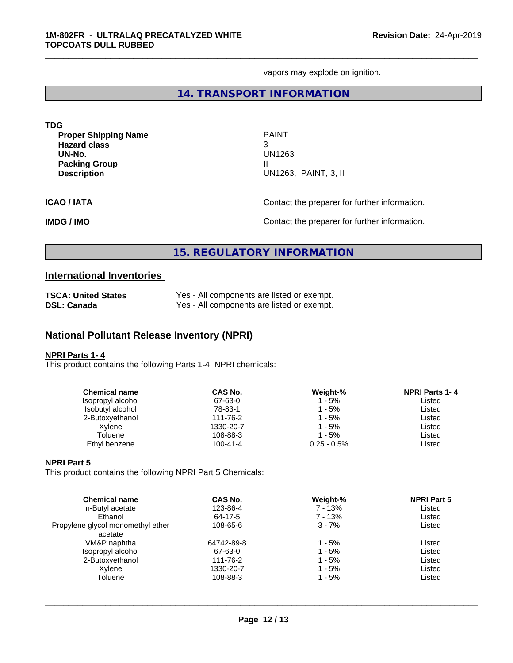vapors may explode on ignition.

\_\_\_\_\_\_\_\_\_\_\_\_\_\_\_\_\_\_\_\_\_\_\_\_\_\_\_\_\_\_\_\_\_\_\_\_\_\_\_\_\_\_\_\_\_\_\_\_\_\_\_\_\_\_\_\_\_\_\_\_\_\_\_\_\_\_\_\_\_\_\_\_\_\_\_\_\_\_\_\_\_\_\_\_\_\_\_\_\_\_\_\_\_

#### **14. TRANSPORT INFORMATION**

| <b>TDG</b>                                                                                                 |                                                          |
|------------------------------------------------------------------------------------------------------------|----------------------------------------------------------|
| <b>Proper Shipping Name</b><br><b>Hazard class</b><br>UN-No.<br><b>Packing Group</b><br><b>Description</b> | <b>PAINT</b><br>3<br>UN1263<br>Ш<br>UN1263, PAINT, 3, II |
| <b>ICAO/IATA</b>                                                                                           | Contact the preparer for further information.            |
| <b>IMDG / IMO</b>                                                                                          | Contact the preparer for further information.            |

### **15. REGULATORY INFORMATION**

### **International Inventories**

| <b>TSCA: United States</b> | Yes - All components are listed or exempt. |
|----------------------------|--------------------------------------------|
| <b>DSL: Canada</b>         | Yes - All components are listed or exempt. |

### **National Pollutant Release Inventory (NPRI)**

#### **NPRI Parts 1- 4**

This product contains the following Parts 1-4 NPRI chemicals:

| <b>Chemical name</b> | CAS No.        | Weight-%       | <b>NPRI Parts 1-4</b> |  |
|----------------------|----------------|----------------|-----------------------|--|
| Isopropyl alcohol    | 67-63-0        | 1 - 5%         | Listed                |  |
| Isobutyl alcohol     | 78-83-1        | 1 - 5%         | Listed                |  |
| 2-Butoxyethanol      | 111-76-2       | 1 - 5%         | Listed                |  |
| Xylene               | 1330-20-7      | 1 - 5%         | Listed                |  |
| Toluene              | 108-88-3       | 1 - 5%         | Listed                |  |
| Ethyl benzene        | $100 - 41 - 4$ | $0.25 - 0.5\%$ | Listed                |  |
|                      |                |                |                       |  |

#### **NPRI Part 5**

This product contains the following NPRI Part 5 Chemicals:

| <b>Chemical name</b>              | CAS No.    | Weight-% | <b>NPRI Part 5</b> |  |
|-----------------------------------|------------|----------|--------------------|--|
| n-Butyl acetate                   | 123-86-4   | 7 - 13%  | Listed             |  |
| Ethanol                           | 64-17-5    | 7 - 13%  | Listed             |  |
| Propylene glycol monomethyl ether | 108-65-6   | $3 - 7%$ | Listed             |  |
| acetate                           |            |          |                    |  |
| VM&P naphtha                      | 64742-89-8 | 1 - 5%   | Listed             |  |
| Isopropyl alcohol                 | 67-63-0    | 1 - 5%   | Listed             |  |
| 2-Butoxyethanol                   | 111-76-2   | 1 - 5%   | Listed             |  |
| Xylene                            | 1330-20-7  | 1 - 5%   | Listed             |  |
| Toluene                           | 108-88-3   | 1 - 5%   | Listed             |  |
|                                   |            |          |                    |  |